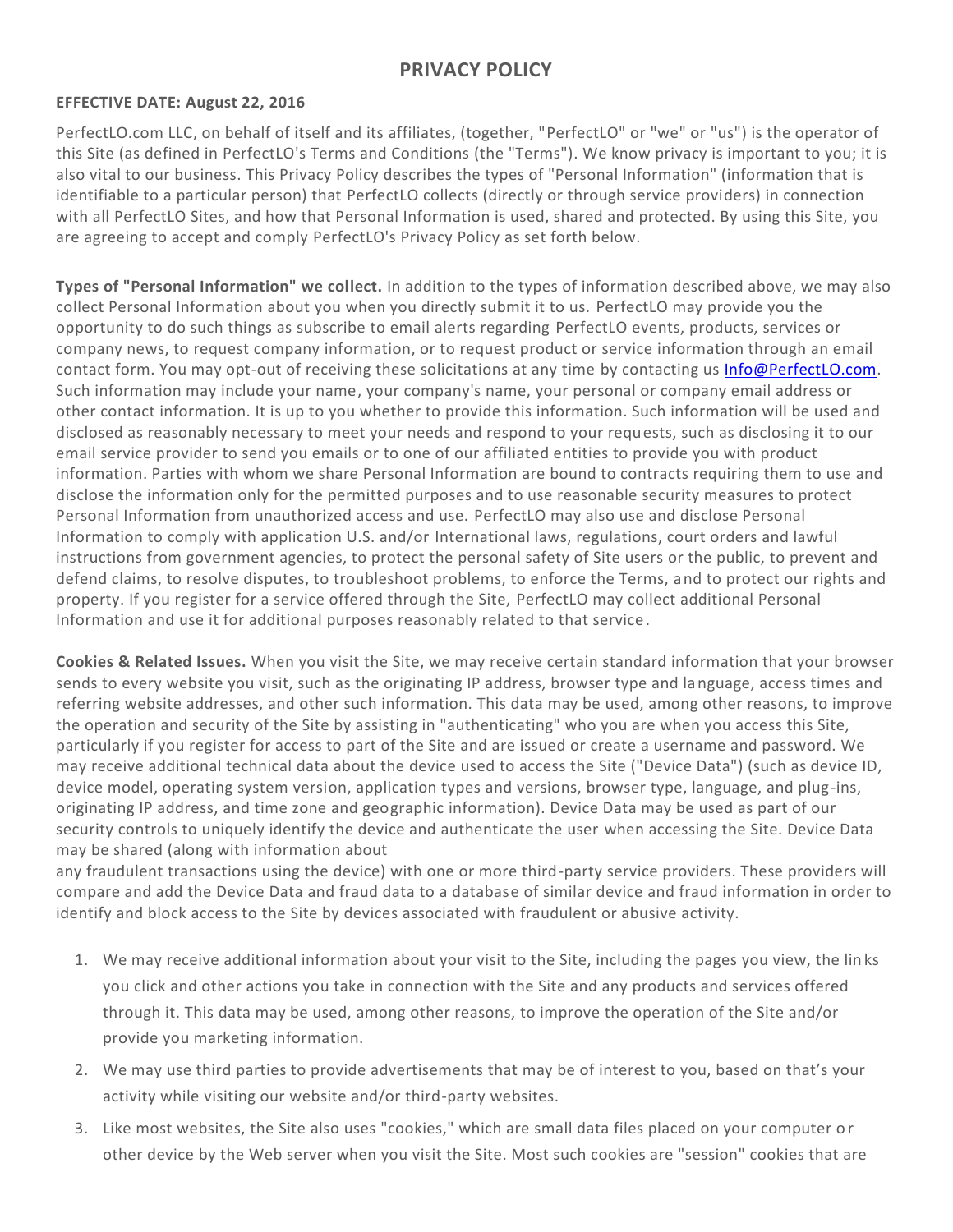## **PRIVACY POLICY**

## **EFFECTIVE DATE: August 22, 2016**

PerfectLO.com LLC, on behalf of itself and its affiliates, (together, "PerfectLO" or "we" or "us") is the operator of this Site (as defined in PerfectLO's Terms and Conditions (the "Terms"). We know privacy is important to you; it is also vital to our business. This Privacy Policy describes the types of "Personal Information" (information that is identifiable to a particular person) that PerfectLO collects (directly or through service providers) in connection with all PerfectLO Sites, and how that Personal Information is used, shared and protected. By using this Site, you are agreeing to accept and comply PerfectLO's Privacy Policy as set forth below.

**Types of "Personal Information" we collect.** In addition to the types of information described above, we may also collect Personal Information about you when you directly submit it to us. PerfectLO may provide you the opportunity to do such things as subscribe to email alerts regarding PerfectLO events, products, services or company news, to request company information, or to request product or service information through an email contact form. You may opt-out of receiving these solicitations at any time by contacting us [Info@PerfectLO.com.](info@PerfectLO.com) Such information may include your name, your company's name, your personal or company email address or other contact information. It is up to you whether to provide this information. Such information will be used and disclosed as reasonably necessary to meet your needs and respond to your requests, such as disclosing it to our email service provider to send you emails or to one of our affiliated entities to provide you with product information. Parties with whom we share Personal Information are bound to contracts requiring them to use and disclose the information only for the permitted purposes and to use reasonable security measures to protect Personal Information from unauthorized access and use. PerfectLO may also use and disclose Personal Information to comply with application U.S. and/or International laws, regulations, court orders and lawful instructions from government agencies, to protect the personal safety of Site users or the public, to prevent and defend claims, to resolve disputes, to troubleshoot problems, to enforce the Terms, and to protect our rights and property. If you register for a service offered through the Site, PerfectLO may collect additional Personal Information and use it for additional purposes reasonably related to that service.

**Cookies & Related Issues.** When you visit the Site, we may receive certain standard information that your browser sends to every website you visit, such as the originating IP address, browser type and language, access times and referring website addresses, and other such information. This data may be used, among other reasons, to improve the operation and security of the Site by assisting in "authenticating" who you are when you access this Site, particularly if you register for access to part of the Site and are issued or create a username and password. We may receive additional technical data about the device used to access the Site ("Device Data") (such as device ID, device model, operating system version, application types and versions, browser type, language, and plug-ins, originating IP address, and time zone and geographic information). Device Data may be used as part of our security controls to uniquely identify the device and authenticate the user when accessing the Site. Device Data may be shared (along with information about

any fraudulent transactions using the device) with one or more third-party service providers. These providers will compare and add the Device Data and fraud data to a database of similar device and fraud information in order to identify and block access to the Site by devices associated with fraudulent or abusive activity.

- 1. We may receive additional information about your visit to the Site, including the pages you view, the lin ks you click and other actions you take in connection with the Site and any products and services offered through it. This data may be used, among other reasons, to improve the operation of the Site and/or provide you marketing information.
- 2. We may use third parties to provide advertisements that may be of interest to you, based on that's your activity while visiting our website and/or third-party websites.
- 3. Like most websites, the Site also uses "cookies," which are small data files placed on your computer or other device by the Web server when you visit the Site. Most such cookies are "session" cookies that are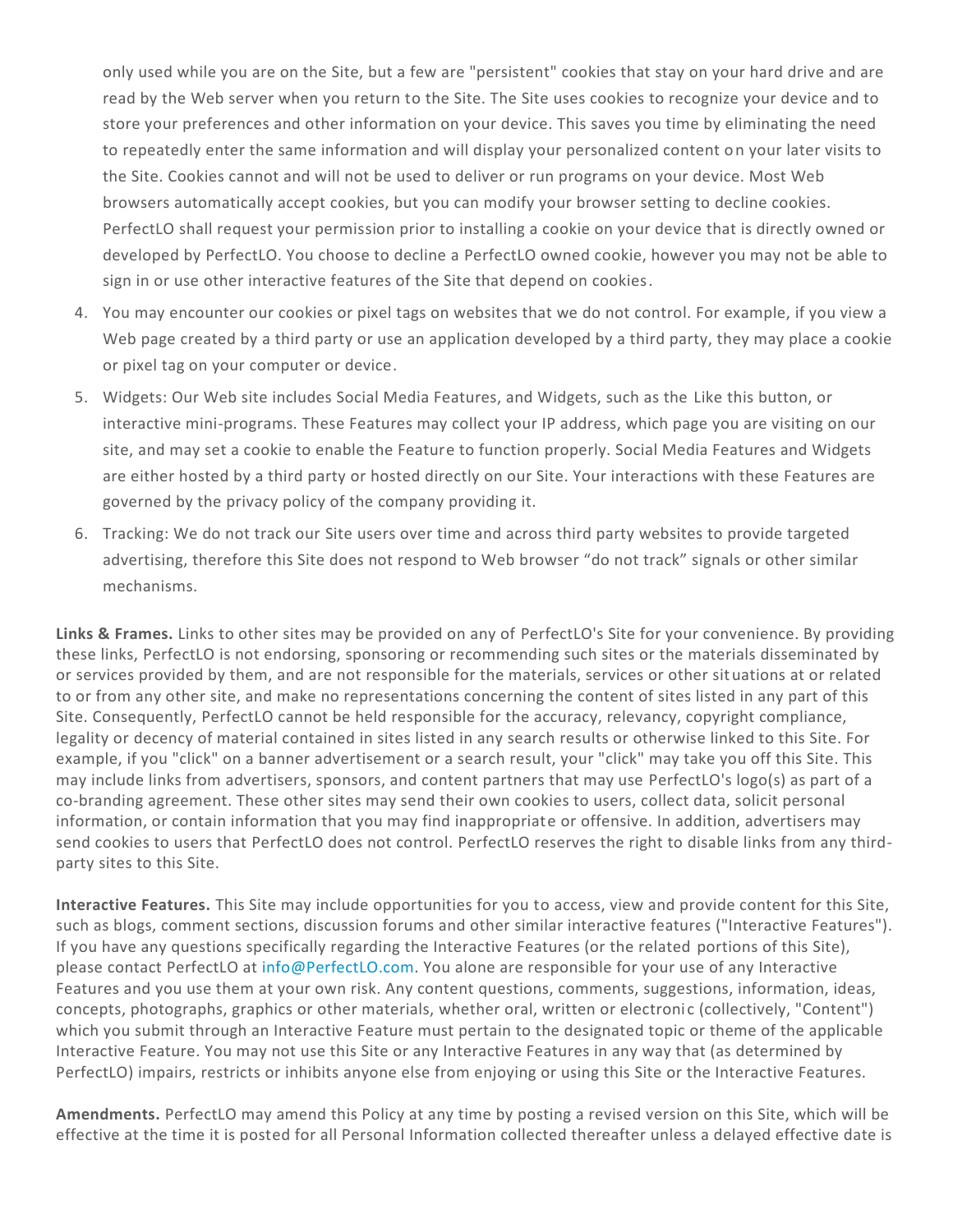only used while you are on the Site, but a few are "persistent" cookies that stay on your hard drive and are read by the Web server when you return to the Site. The Site uses cookies to recognize your device and to store your preferences and other information on your device. This saves you time by eliminating the need to repeatedly enter the same information and will display your personalized content on your later visits to the Site. Cookies cannot and will not be used to deliver or run programs on your device. Most Web browsers automatically accept cookies, but you can modify your browser setting to decline cookies. PerfectLO shall request your permission prior to installing a cookie on your device that is directly owned or developed by PerfectLO. You choose to decline a PerfectLO owned cookie, however you may not be able to sign in or use other interactive features of the Site that depend on cookies.

- 4. You may encounter our cookies or pixel tags on websites that we do not control. For example, if you view a Web page created by a third party or use an application developed by a third party, they may place a cookie or pixel tag on your computer or device.
- 5. Widgets: Our Web site includes Social Media Features, and Widgets, such as the Like this button, or interactive mini-programs. These Features may collect your IP address, which page you are visiting on our site, and may set a cookie to enable the Feature to function properly. Social Media Features and Widgets are either hosted by a third party or hosted directly on our Site. Your interactions with these Features are governed by the privacy policy of the company providing it.
- 6. Tracking: We do not track our Site users over time and across third party websites to provide targeted advertising, therefore this Site does not respond to Web browser "do not track" signals or other similar mechanisms.

**Links & Frames.** Links to other sites may be provided on any of PerfectLO's Site for your convenience. By providing these links, PerfectLO is not endorsing, sponsoring or recommending such sites or the materials disseminated by or services provided by them, and are not responsible for the materials, services or other situations at or related to or from any other site, and make no representations concerning the content of sites listed in any part of this Site. Consequently, PerfectLO cannot be held responsible for the accuracy, relevancy, copyright compliance, legality or decency of material contained in sites listed in any search results or otherwise linked to this Site. For example, if you "click" on a banner advertisement or a search result, your "click" may take you off this Site. This may include links from advertisers, sponsors, and content partners that may use PerfectLO's logo(s) as part of a co-branding agreement. These other sites may send their own cookies to users, collect data, solicit personal information, or contain information that you may find inappropriate or offensive. In addition, advertisers may send cookies to users that PerfectLO does not control. PerfectLO reserves the right to disable links from any thirdparty sites to this Site.

**Interactive Features.** This Site may include opportunities for you to access, view and provide content for this Site, such as blogs, comment sections, discussion forums and other similar interactive features ("Interactive Features"). If you have any questions specifically regarding the Interactive Features (or the related portions of this Site), please contact PerfectLO at [info@PerfectLO.com.](mailto:info@Bottomline.com) You alone are responsible for your use of any Interactive Features and you use them at your own risk. Any content questions, comments, suggestions, information, ideas, concepts, photographs, graphics or other materials, whether oral, written or electronic (collectively, "Content") which you submit through an Interactive Feature must pertain to the designated topic or theme of the applicable Interactive Feature. You may not use this Site or any Interactive Features in any way that (as determined by PerfectLO) impairs, restricts or inhibits anyone else from enjoying or using this Site or the Interactive Features.

**Amendments.** PerfectLO may amend this Policy at any time by posting a revised version on this Site, which will be effective at the time it is posted for all Personal Information collected thereafter unless a delayed effective date is